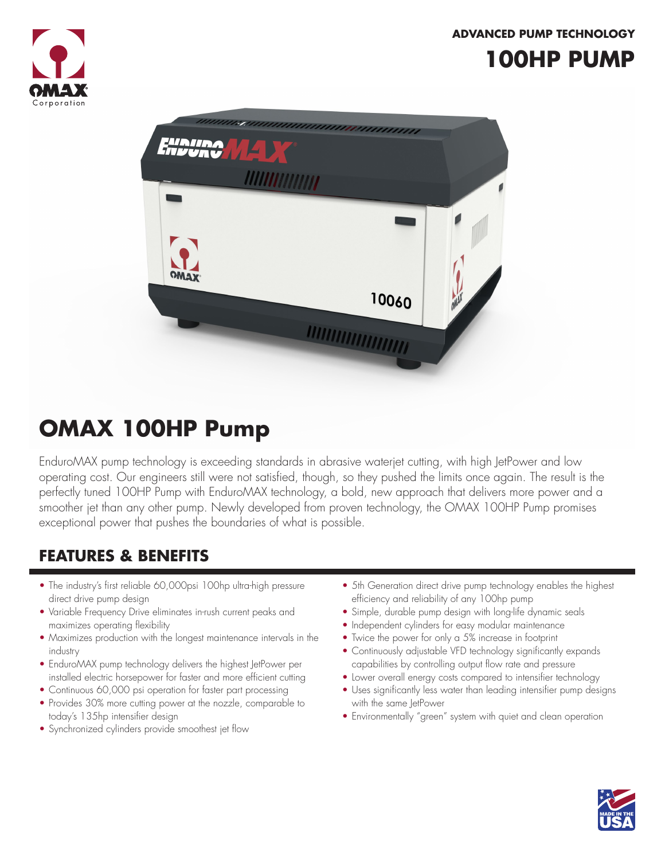#### **ADVANCED PUMP TECHNOLOGY**



## **100HP PUMP**



# **OMAX 100HP Pump**

EnduroMAX pump technology is exceeding standards in abrasive waterjet cutting, with high JetPower and low operating cost. Our engineers still were not satisfied, though, so they pushed the limits once again. The result is the perfectly tuned 100HP Pump with EnduroMAX technology, a bold, new approach that delivers more power and a smoother jet than any other pump. Newly developed from proven technology, the OMAX 100HP Pump promises exceptional power that pushes the boundaries of what is possible.

### **FEATURES & BENEFITS**

- The industry's first reliable 60,000psi 100hp ultra-high pressure direct drive pump design
- Variable Frequency Drive eliminates in-rush current peaks and maximizes operating flexibility
- Maximizes production with the longest maintenance intervals in the industry
- EnduroMAX pump technology delivers the highest JetPower per installed electric horsepower for faster and more efficient cutting
- Continuous 60,000 psi operation for faster part processing
- Provides 30% more cutting power at the nozzle, comparable to today's 135hp intensifier design
- Synchronized cylinders provide smoothest jet flow
- 5th Generation direct drive pump technology enables the highest efficiency and reliability of any 100hp pump
- Simple, durable pump design with long-life dynamic seals
- Independent cylinders for easy modular maintenance
- Twice the power for only a 5% increase in footprint
- Continuously adjustable VFD technology significantly expands capabilities by controlling output flow rate and pressure
- Lower overall energy costs compared to intensifier technology
- Uses significantly less water than leading intensifier pump designs with the same JetPower
- Environmentally "green" system with quiet and clean operation